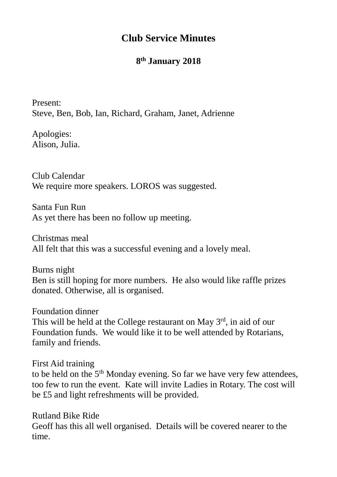## **Club Service Minutes**

## **8 th January 2018**

Present: Steve, Ben, Bob, Ian, Richard, Graham, Janet, Adrienne

Apologies: Alison, Julia.

Club Calendar We require more speakers. LOROS was suggested.

Santa Fun Run As yet there has been no follow up meeting.

Christmas meal All felt that this was a successful evening and a lovely meal.

Burns night Ben is still hoping for more numbers. He also would like raffle prizes donated. Otherwise, all is organised.

Foundation dinner This will be held at the College restaurant on May 3rd, in aid of our Foundation funds. We would like it to be well attended by Rotarians, family and friends.

First Aid training to be held on the 5<sup>th</sup> Monday evening. So far we have very few attendees, too few to run the event. Kate will invite Ladies in Rotary. The cost will be £5 and light refreshments will be provided.

Rutland Bike Ride Geoff has this all well organised. Details will be covered nearer to the time.